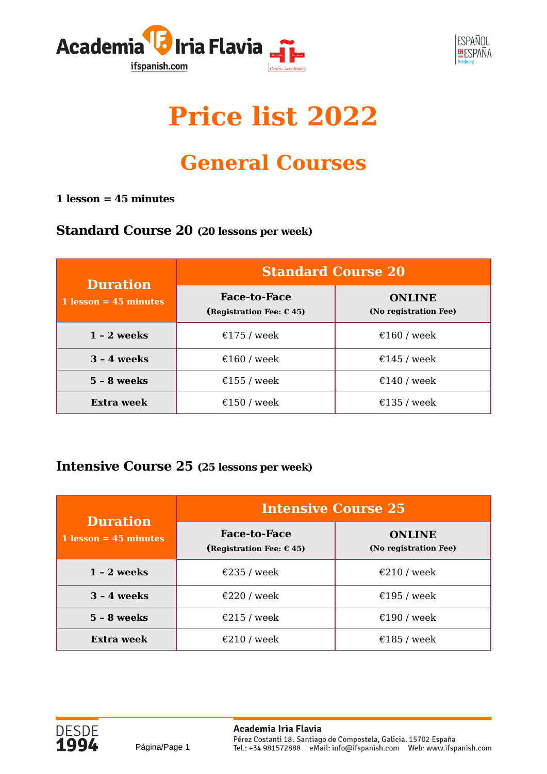



## **Price list 2022**

## **General Courses**

#### **1 lesson = 45 minutes**

#### **Standard Course 20 (20 lessons per week)**

| <b>Duration</b>         | <b>Standard Course 20</b>                                |                                        |  |
|-------------------------|----------------------------------------------------------|----------------------------------------|--|
| $1$ lesson = 45 minutes | <b>Face-to-Face</b><br>(Registration Fee: $\epsilon$ 45) | <b>ONLINE</b><br>(No registration Fee) |  |
| $1 - 2$ weeks           | €175 / week                                              | €160 / week                            |  |
| $3 - 4$ weeks           | €160 / week                                              | €145 / week                            |  |
| $5 - 8$ weeks           | €155 / week                                              | €140 / week                            |  |
| Extra week              | €150 / week                                              | €135 / week                            |  |

#### **Intensive Course 25 (25 lessons per week)**

Página/Page 1

| <b>Duration</b>         | <b>Intensive Course 25</b>                               |                                         |  |
|-------------------------|----------------------------------------------------------|-----------------------------------------|--|
| $1$ lesson = 45 minutes | <b>Face-to-Face</b><br>(Registration Fee: $\epsilon$ 45) | <b>ONI INF</b><br>(No registration Fee) |  |
| $1 - 2$ weeks           | €235 / week                                              | €210 / week                             |  |
| $3 - 4$ weeks           | €220 / week                                              | €195 / week                             |  |
| $5 - 8$ weeks           | €215 / week                                              | €190 / week                             |  |
| Extra week              | €210 / week                                              | €185 / week                             |  |

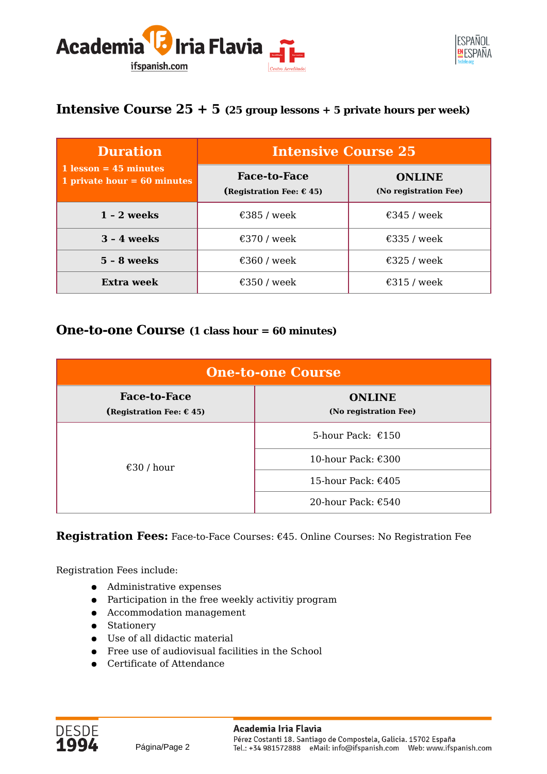



#### **Intensive Course 25 + 5 (25 group lessons + 5 private hours per week)**

| <b>Duration</b>                                          | <b>Intensive Course 25</b>                               |                                        |  |
|----------------------------------------------------------|----------------------------------------------------------|----------------------------------------|--|
| $1$ lesson = 45 minutes<br>1 private hour = $60$ minutes | <b>Face-to-Face</b><br>(Registration Fee: $\epsilon$ 45) | <b>ONLINE</b><br>(No registration Fee) |  |
| $1 - 2$ weeks                                            | €385 / week                                              | €345 / week                            |  |
| $3 - 4$ weeks                                            | €370 / week                                              | €335 / week                            |  |
| $5 - 8$ weeks                                            | €360 / week                                              | €325 / week                            |  |
| Extra week                                               | €350 / week                                              | €315 / week                            |  |

#### **One-to-one Course (1 class hour = 60 minutes)**

| <b>One-to-one Course</b>                                 |                                        |  |
|----------------------------------------------------------|----------------------------------------|--|
| <b>Face-to-Face</b><br>(Registration Fee: $\epsilon$ 45) | <b>ONLINE</b><br>(No registration Fee) |  |
|                                                          | 5-hour Pack: $£150$                    |  |
| €30 / hour                                               | 10-hour Pack: $\epsilon$ 300           |  |
|                                                          | 15-hour Pack: €405                     |  |
|                                                          | 20-hour Pack: $€540$                   |  |

**Registration Fees:** Face-to-Face Courses: €45. Online Courses: No Registration Fee

Registration Fees include:

- Administrative expenses
- Participation in the free weekly activitiy program
- Accommodation management
- Stationery
- Use of all didactic material
- Free use of audiovisual facilities in the School
- Certificate of Attendance

Página/Page 2

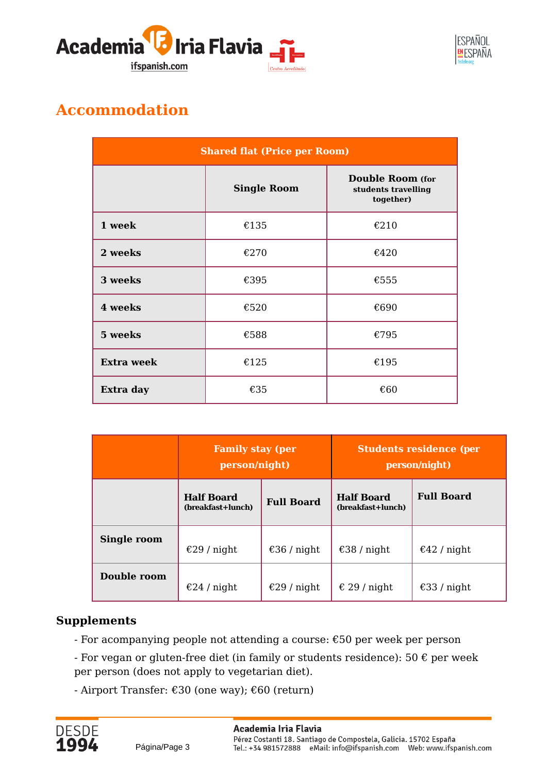



## **Accommodation**

| <b>Shared flat (Price per Room)</b> |                    |                                                             |
|-------------------------------------|--------------------|-------------------------------------------------------------|
|                                     | <b>Single Room</b> | <b>Double Room</b> (for<br>students travelling<br>together) |
| 1 week                              | €135               | €210                                                        |
| 2 weeks                             | €270               | €420                                                        |
| 3 weeks                             | €395               | €555                                                        |
| 4 weeks                             | €520               | €690                                                        |
| 5 weeks                             | €588               | €795                                                        |
| <b>Extra week</b>                   | €125               | €195                                                        |
| Extra day                           | €35                | €60                                                         |

|             | <b>Family stay (per</b><br>person/night) |                   | <b>Students residence (per</b><br>person/night) |                   |
|-------------|------------------------------------------|-------------------|-------------------------------------------------|-------------------|
|             | <b>Half Board</b><br>(breakfast+lunch)   | <b>Full Board</b> | <b>Half Board</b><br>(breakfast+lunch)          | <b>Full Board</b> |
| Single room | €29 / night                              | €36 / night       | €38 / night                                     | €42 / night       |
| Double room | €24 / night                              | €29 / night       | € 29 / night                                    | €33 / night       |

#### **Supplements**

- For acompanying people not attending a course: €50 per week per person
- For vegan or gluten-free diet (in family or students residence):  $50 \text{ } \epsilon$  per week per person (does not apply to vegetarian diet).
- Airport Transfer: €30 (one way); €60 (return)

Página/Page 3

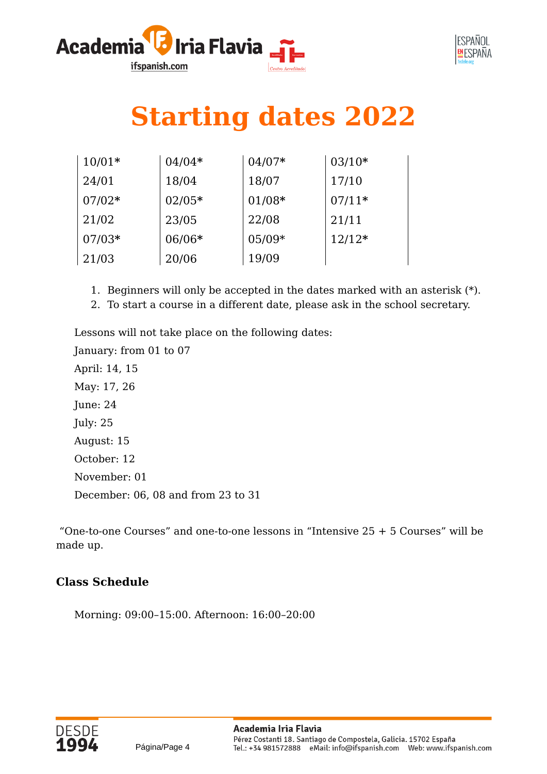



# **Starting dates 2022**

| $10/01*$ | $04/04*$ | $04/07*$ | $03/10*$ |
|----------|----------|----------|----------|
| 24/01    | 18/04    | 18/07    | 17/10    |
| $07/02*$ | $02/05*$ | $01/08*$ | $07/11*$ |
| 21/02    | 23/05    | 22/08    | 21/11    |
| $07/03*$ | $06/06*$ | $05/09*$ | $12/12*$ |
| 21/03    | 20/06    | 19/09    |          |

- 1. Beginners will only be accepted in the dates marked with an asterisk (\*).
- 2. To start a course in a different date, please ask in the school secretary.

Lessons will not take place on the following dates:

January: from 01 to 07 April: 14, 15 May: 17, 26 June: 24 July: 25 August: 15 October: 12 November: 01 December: 06, 08 and from 23 to 31

 "One-to-one Courses" and one-to-one lessons in "Intensive 25 + 5 Courses" will be made up.

#### **Class Schedule**

Morning: 09:00–15:00. Afternoon: 16:00–20:00